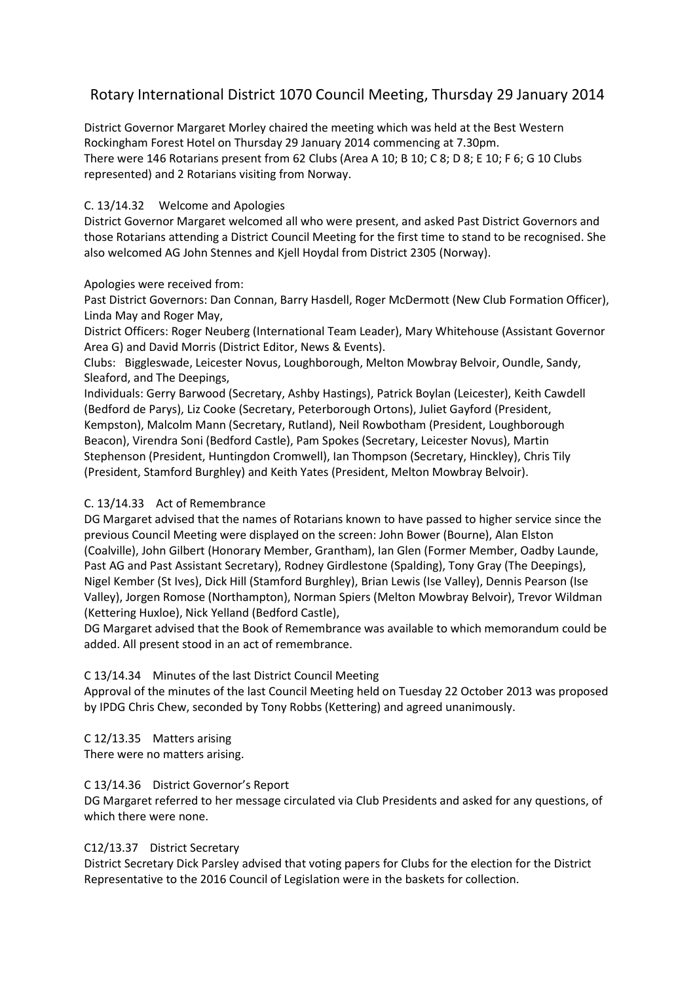# Rotary International District 1070 Council Meeting, Thursday 29 January 2014

District Governor Margaret Morley chaired the meeting which was held at the Best Western Rockingham Forest Hotel on Thursday 29 January 2014 commencing at 7.30pm. There were 146 Rotarians present from 62 Clubs (Area A 10; B 10; C 8; D 8; E 10; F 6; G 10 Clubs represented) and 2 Rotarians visiting from Norway.

## C. 13/14.32 Welcome and Apologies

District Governor Margaret welcomed all who were present, and asked Past District Governors and those Rotarians attending a District Council Meeting for the first time to stand to be recognised. She also welcomed AG John Stennes and Kjell Hoydal from District 2305 (Norway).

Apologies were received from:

Past District Governors: Dan Connan, Barry Hasdell, Roger McDermott (New Club Formation Officer), Linda May and Roger May,

District Officers: Roger Neuberg (International Team Leader), Mary Whitehouse (Assistant Governor Area G) and David Morris (District Editor, News & Events).

Clubs: Biggleswade, Leicester Novus, Loughborough, Melton Mowbray Belvoir, Oundle, Sandy, Sleaford, and The Deepings,

Individuals: Gerry Barwood (Secretary, Ashby Hastings), Patrick Boylan (Leicester), Keith Cawdell (Bedford de Parys), Liz Cooke (Secretary, Peterborough Ortons), Juliet Gayford (President, Kempston), Malcolm Mann (Secretary, Rutland), Neil Rowbotham (President, Loughborough Beacon), Virendra Soni (Bedford Castle), Pam Spokes (Secretary, Leicester Novus), Martin Stephenson (President, Huntingdon Cromwell), Ian Thompson (Secretary, Hinckley), Chris Tily (President, Stamford Burghley) and Keith Yates (President, Melton Mowbray Belvoir).

# C. 13/14.33 Act of Remembrance

DG Margaret advised that the names of Rotarians known to have passed to higher service since the previous Council Meeting were displayed on the screen: John Bower (Bourne), Alan Elston (Coalville), John Gilbert (Honorary Member, Grantham), Ian Glen (Former Member, Oadby Launde, Past AG and Past Assistant Secretary), Rodney Girdlestone (Spalding), Tony Gray (The Deepings), Nigel Kember (St Ives), Dick Hill (Stamford Burghley), Brian Lewis (Ise Valley), Dennis Pearson (Ise Valley), Jorgen Romose (Northampton), Norman Spiers (Melton Mowbray Belvoir), Trevor Wildman (Kettering Huxloe), Nick Yelland (Bedford Castle),

DG Margaret advised that the Book of Remembrance was available to which memorandum could be added. All present stood in an act of remembrance.

# C 13/14.34 Minutes of the last District Council Meeting

Approval of the minutes of the last Council Meeting held on Tuesday 22 October 2013 was proposed by IPDG Chris Chew, seconded by Tony Robbs (Kettering) and agreed unanimously.

C 12/13.35 Matters arising

There were no matters arising.

### C 13/14.36 District Governor's Report

DG Margaret referred to her message circulated via Club Presidents and asked for any questions, of which there were none.

### C12/13.37 District Secretary

District Secretary Dick Parsley advised that voting papers for Clubs for the election for the District Representative to the 2016 Council of Legislation were in the baskets for collection.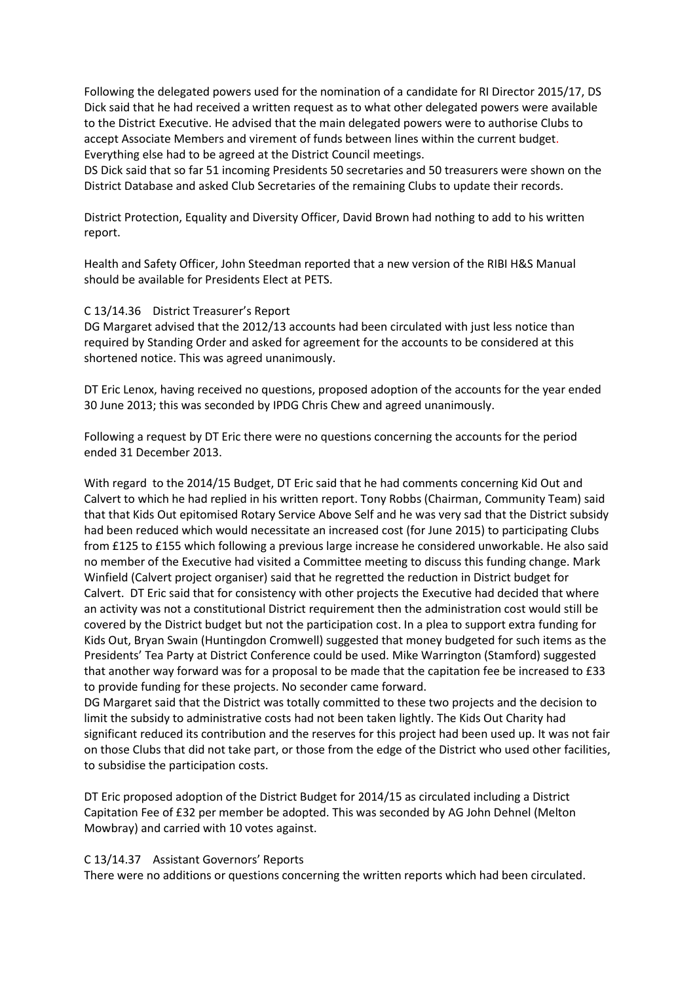Following the delegated powers used for the nomination of a candidate for RI Director 2015/17, DS Dick said that he had received a written request as to what other delegated powers were available to the District Executive. He advised that the main delegated powers were to authorise Clubs to accept Associate Members and virement of funds between lines within the current budget. Everything else had to be agreed at the District Council meetings.

DS Dick said that so far 51 incoming Presidents 50 secretaries and 50 treasurers were shown on the District Database and asked Club Secretaries of the remaining Clubs to update their records.

District Protection, Equality and Diversity Officer, David Brown had nothing to add to his written report.

Health and Safety Officer, John Steedman reported that a new version of the RIBI H&S Manual should be available for Presidents Elect at PETS.

#### C 13/14.36 District Treasurer's Report

DG Margaret advised that the 2012/13 accounts had been circulated with just less notice than required by Standing Order and asked for agreement for the accounts to be considered at this shortened notice. This was agreed unanimously.

DT Eric Lenox, having received no questions, proposed adoption of the accounts for the year ended 30 June 2013; this was seconded by IPDG Chris Chew and agreed unanimously.

Following a request by DT Eric there were no questions concerning the accounts for the period ended 31 December 2013.

With regard to the 2014/15 Budget, DT Eric said that he had comments concerning Kid Out and Calvert to which he had replied in his written report. Tony Robbs (Chairman, Community Team) said that that Kids Out epitomised Rotary Service Above Self and he was very sad that the District subsidy had been reduced which would necessitate an increased cost (for June 2015) to participating Clubs from £125 to £155 which following a previous large increase he considered unworkable. He also said no member of the Executive had visited a Committee meeting to discuss this funding change. Mark Winfield (Calvert project organiser) said that he regretted the reduction in District budget for Calvert. DT Eric said that for consistency with other projects the Executive had decided that where an activity was not a constitutional District requirement then the administration cost would still be covered by the District budget but not the participation cost. In a plea to support extra funding for Kids Out, Bryan Swain (Huntingdon Cromwell) suggested that money budgeted for such items as the Presidents' Tea Party at District Conference could be used. Mike Warrington (Stamford) suggested that another way forward was for a proposal to be made that the capitation fee be increased to £33 to provide funding for these projects. No seconder came forward.

DG Margaret said that the District was totally committed to these two projects and the decision to limit the subsidy to administrative costs had not been taken lightly. The Kids Out Charity had significant reduced its contribution and the reserves for this project had been used up. It was not fair on those Clubs that did not take part, or those from the edge of the District who used other facilities, to subsidise the participation costs.

DT Eric proposed adoption of the District Budget for 2014/15 as circulated including a District Capitation Fee of £32 per member be adopted. This was seconded by AG John Dehnel (Melton Mowbray) and carried with 10 votes against.

#### C 13/14.37 Assistant Governors' Reports

There were no additions or questions concerning the written reports which had been circulated.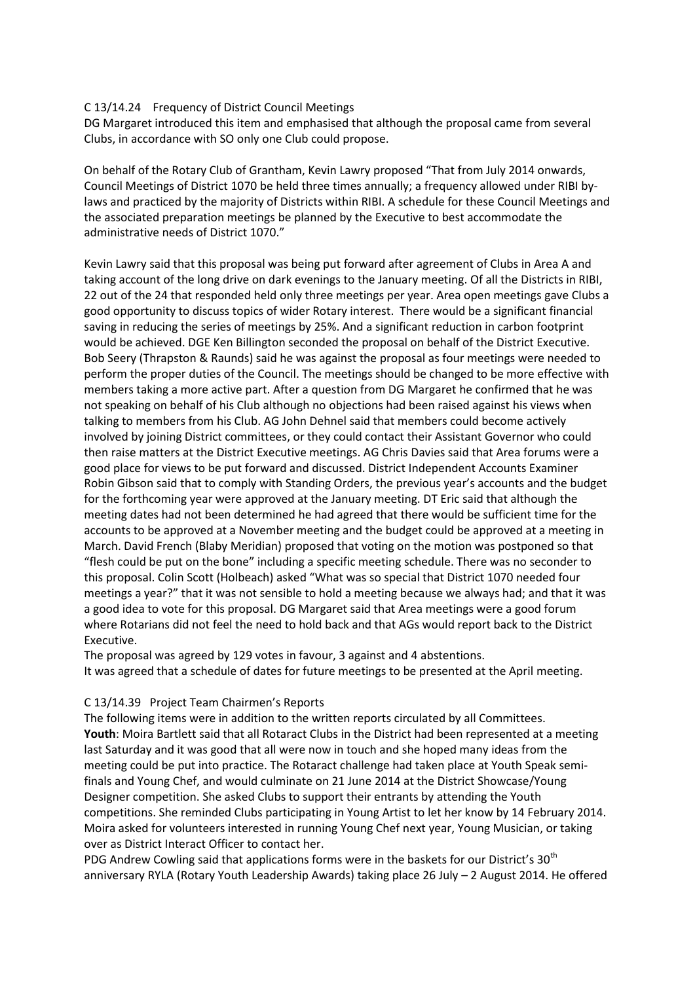### C 13/14.24 Frequency of District Council Meetings

DG Margaret introduced this item and emphasised that although the proposal came from several Clubs, in accordance with SO only one Club could propose.

On behalf of the Rotary Club of Grantham, Kevin Lawry proposed "That from July 2014 onwards, Council Meetings of District 1070 be held three times annually; a frequency allowed under RIBI bylaws and practiced by the majority of Districts within RIBI. A schedule for these Council Meetings and the associated preparation meetings be planned by the Executive to best accommodate the administrative needs of District 1070."

Kevin Lawry said that this proposal was being put forward after agreement of Clubs in Area A and taking account of the long drive on dark evenings to the January meeting. Of all the Districts in RIBI, 22 out of the 24 that responded held only three meetings per year. Area open meetings gave Clubs a good opportunity to discuss topics of wider Rotary interest. There would be a significant financial saving in reducing the series of meetings by 25%. And a significant reduction in carbon footprint would be achieved. DGE Ken Billington seconded the proposal on behalf of the District Executive. Bob Seery (Thrapston & Raunds) said he was against the proposal as four meetings were needed to perform the proper duties of the Council. The meetings should be changed to be more effective with members taking a more active part. After a question from DG Margaret he confirmed that he was not speaking on behalf of his Club although no objections had been raised against his views when talking to members from his Club. AG John Dehnel said that members could become actively involved by joining District committees, or they could contact their Assistant Governor who could then raise matters at the District Executive meetings. AG Chris Davies said that Area forums were a good place for views to be put forward and discussed. District Independent Accounts Examiner Robin Gibson said that to comply with Standing Orders, the previous year's accounts and the budget for the forthcoming year were approved at the January meeting. DT Eric said that although the meeting dates had not been determined he had agreed that there would be sufficient time for the accounts to be approved at a November meeting and the budget could be approved at a meeting in March. David French (Blaby Meridian) proposed that voting on the motion was postponed so that "flesh could be put on the bone" including a specific meeting schedule. There was no seconder to this proposal. Colin Scott (Holbeach) asked "What was so special that District 1070 needed four meetings a year?" that it was not sensible to hold a meeting because we always had; and that it was a good idea to vote for this proposal. DG Margaret said that Area meetings were a good forum where Rotarians did not feel the need to hold back and that AGs would report back to the District Executive.

The proposal was agreed by 129 votes in favour, 3 against and 4 abstentions. It was agreed that a schedule of dates for future meetings to be presented at the April meeting.

### C 13/14.39 Project Team Chairmen's Reports

The following items were in addition to the written reports circulated by all Committees. **Youth**: Moira Bartlett said that all Rotaract Clubs in the District had been represented at a meeting last Saturday and it was good that all were now in touch and she hoped many ideas from the meeting could be put into practice. The Rotaract challenge had taken place at Youth Speak semifinals and Young Chef, and would culminate on 21 June 2014 at the District Showcase/Young Designer competition. She asked Clubs to support their entrants by attending the Youth competitions. She reminded Clubs participating in Young Artist to let her know by 14 February 2014. Moira asked for volunteers interested in running Young Chef next year, Young Musician, or taking over as District Interact Officer to contact her.

PDG Andrew Cowling said that applications forms were in the baskets for our District's 30<sup>th</sup> anniversary RYLA (Rotary Youth Leadership Awards) taking place 26 July – 2 August 2014. He offered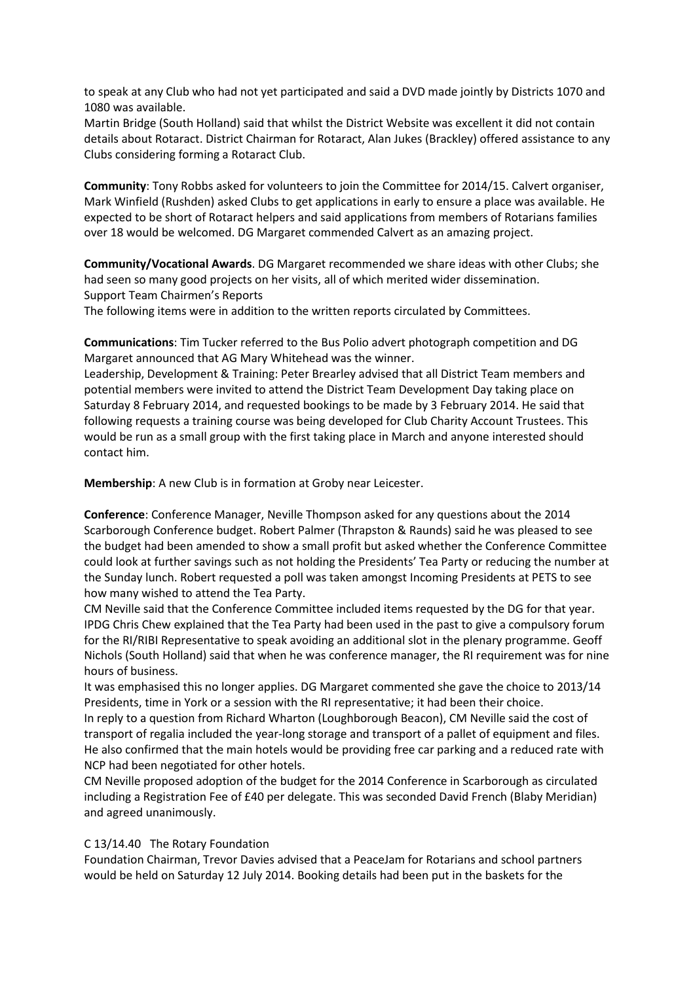to speak at any Club who had not yet participated and said a DVD made jointly by Districts 1070 and 1080 was available.

Martin Bridge (South Holland) said that whilst the District Website was excellent it did not contain details about Rotaract. District Chairman for Rotaract, Alan Jukes (Brackley) offered assistance to any Clubs considering forming a Rotaract Club.

**Community**: Tony Robbs asked for volunteers to join the Committee for 2014/15. Calvert organiser, Mark Winfield (Rushden) asked Clubs to get applications in early to ensure a place was available. He expected to be short of Rotaract helpers and said applications from members of Rotarians families over 18 would be welcomed. DG Margaret commended Calvert as an amazing project.

**Community/Vocational Awards**. DG Margaret recommended we share ideas with other Clubs; she had seen so many good projects on her visits, all of which merited wider dissemination. Support Team Chairmen's Reports

The following items were in addition to the written reports circulated by Committees.

**Communications**: Tim Tucker referred to the Bus Polio advert photograph competition and DG Margaret announced that AG Mary Whitehead was the winner.

Leadership, Development & Training: Peter Brearley advised that all District Team members and potential members were invited to attend the District Team Development Day taking place on Saturday 8 February 2014, and requested bookings to be made by 3 February 2014. He said that following requests a training course was being developed for Club Charity Account Trustees. This would be run as a small group with the first taking place in March and anyone interested should contact him.

**Membership**: A new Club is in formation at Groby near Leicester.

**Conference**: Conference Manager, Neville Thompson asked for any questions about the 2014 Scarborough Conference budget. Robert Palmer (Thrapston & Raunds) said he was pleased to see the budget had been amended to show a small profit but asked whether the Conference Committee could look at further savings such as not holding the Presidents' Tea Party or reducing the number at the Sunday lunch. Robert requested a poll was taken amongst Incoming Presidents at PETS to see how many wished to attend the Tea Party.

CM Neville said that the Conference Committee included items requested by the DG for that year. IPDG Chris Chew explained that the Tea Party had been used in the past to give a compulsory forum for the RI/RIBI Representative to speak avoiding an additional slot in the plenary programme. Geoff Nichols (South Holland) said that when he was conference manager, the RI requirement was for nine hours of business.

It was emphasised this no longer applies. DG Margaret commented she gave the choice to 2013/14 Presidents, time in York or a session with the RI representative; it had been their choice.

In reply to a question from Richard Wharton (Loughborough Beacon), CM Neville said the cost of transport of regalia included the year-long storage and transport of a pallet of equipment and files. He also confirmed that the main hotels would be providing free car parking and a reduced rate with NCP had been negotiated for other hotels.

CM Neville proposed adoption of the budget for the 2014 Conference in Scarborough as circulated including a Registration Fee of £40 per delegate. This was seconded David French (Blaby Meridian) and agreed unanimously.

# C 13/14.40 The Rotary Foundation

Foundation Chairman, Trevor Davies advised that a PeaceJam for Rotarians and school partners would be held on Saturday 12 July 2014. Booking details had been put in the baskets for the